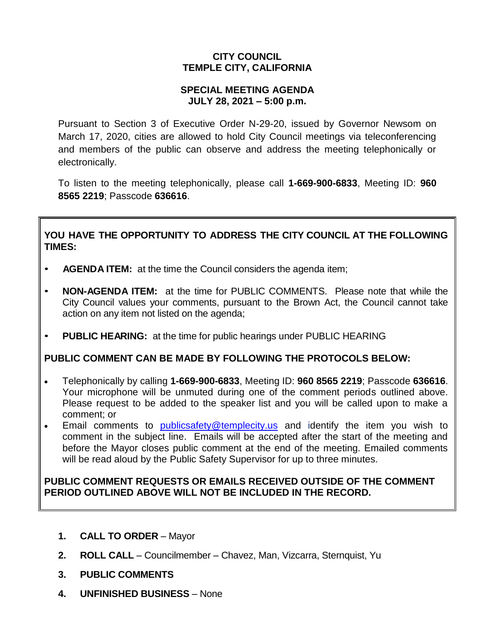## **CITY COUNCIL TEMPLE CITY, CALIFORNIA**

### **SPECIAL MEETING AGENDA JULY 28, 2021 – 5:00 p.m.**

Pursuant to Section 3 of Executive Order N-29-20, issued by Governor Newsom on March 17, 2020, cities are allowed to hold City Council meetings via teleconferencing and members of the public can observe and address the meeting telephonically or electronically.

To listen to the meeting telephonically, please call **1-669-900-6833**, Meeting ID: **960 8565 2219**; Passcode **636616**.

## **YOU HAVE THE OPPORTUNITY TO ADDRESS THE CITY COUNCIL AT THE FOLLOWING TIMES:**

- **AGENDA ITEM:** at the time the Council considers the agenda item;
- **NON-AGENDA ITEM:** at the time for PUBLIC COMMENTS. Please note that while the City Council values your comments, pursuant to the Brown Act, the Council cannot take action on any item not listed on the agenda;
- **PUBLIC HEARING:** at the time for public hearings under PUBLIC HEARING

# **PUBLIC COMMENT CAN BE MADE BY FOLLOWING THE PROTOCOLS BELOW:**

- Telephonically by calling **1-669-900-6833**, Meeting ID: **960 8565 2219**; Passcode **636616**. Your microphone will be unmuted during one of the comment periods outlined above. Please request to be added to the speaker list and you will be called upon to make a comment; or
- Email comments to [publicsafety@templecity.us](mailto:publicsafety@templecity.us) and identify the item you wish to comment in the subject line. Emails will be accepted after the start of the meeting and before the Mayor closes public comment at the end of the meeting. Emailed comments will be read aloud by the Public Safety Supervisor for up to three minutes.

### **PUBLIC COMMENT REQUESTS OR EMAILS RECEIVED OUTSIDE OF THE COMMENT PERIOD OUTLINED ABOVE WILL NOT BE INCLUDED IN THE RECORD.**

- **1. CALL TO ORDER** Mayor
- **2. ROLL CALL** Councilmember Chavez, Man, Vizcarra, Sternquist, Yu
- **3. PUBLIC COMMENTS**
- **4. UNFINISHED BUSINESS** None